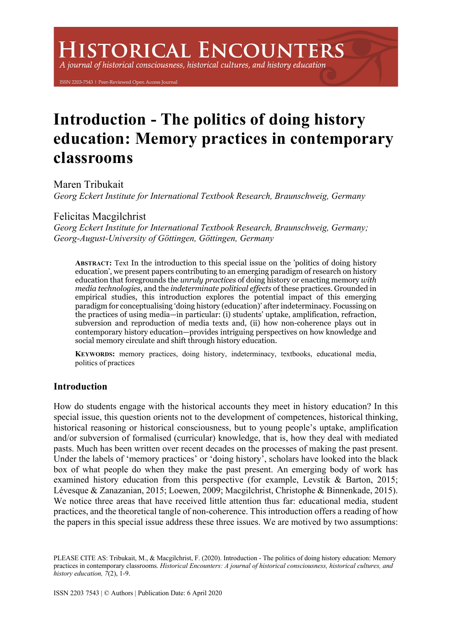# **ISTORICAL ENCOUNTERS**

A journal of historical consciousness, historical cultures, and history education

ISSN 2203-7543 | Peer-Reviewed Open Access Journal

# **Introduction - The politics of doing history education: Memory practices in contemporary classrooms**

Maren Tribukait *Georg Eckert Institute for International Textbook Research, Braunschweig, Germany*

# Felicitas Macgilchrist

*Georg Eckert Institute for International Textbook Research, Braunschweig, Germany; Georg-August-University of Göttingen, Göttingen, Germany*

**ABSTRACT:** Text In the introduction to this special issue on the 'politics of doing history education', we present papers contributing to an emerging paradigm of research on history education that foregrounds the *unruly practices* of doing history or enacting memory *with media technologies*, and the *indeterminate political effects* of these practices. Grounded in empirical studies, this introduction explores the potential impact of this emerging paradigm for conceptualising 'doing history (education)' after indeterminacy. Focussing on the practices of using media—in particular: (i) students' uptake, amplification, refraction, subversion and reproduction of media texts and, (ii) how non-coherence plays out in contemporary history education—provides intriguing perspectives on how knowledge and social memory circulate and shift through history education.

**KEYWORDS:** memory practices, doing history, indeterminacy, textbooks, educational media, politics of practices

# **Introduction**

How do students engage with the historical accounts they meet in history education? In this special issue, this question orients not to the development of competences, historical thinking, historical reasoning or historical consciousness, but to young people's uptake, amplification and/or subversion of formalised (curricular) knowledge, that is, how they deal with mediated pasts. Much has been written over recent decades on the processes of making the past present. Under the labels of 'memory practices' or 'doing history', scholars have looked into the black box of what people do when they make the past present. An emerging body of work has examined history education from this perspective (for example, Levstik & Barton, 2015; Lévesque & Zanazanian, 2015; Loewen, 2009; Macgilchrist, Christophe & Binnenkade, 2015). We notice three areas that have received little attention thus far: educational media, student practices, and the theoretical tangle of non-coherence. This introduction offers a reading of how the papers in this special issue address these three issues. We are motived by two assumptions:

PLEASE CITE AS: Tribukait, M., & Macgilchrist, F. (2020). Introduction - The politics of doing history education: Memory practices in contemporary classrooms. *Historical Encounters: A journal of historical consciousness, historical cultures, and history education, 7*(2), 1-9.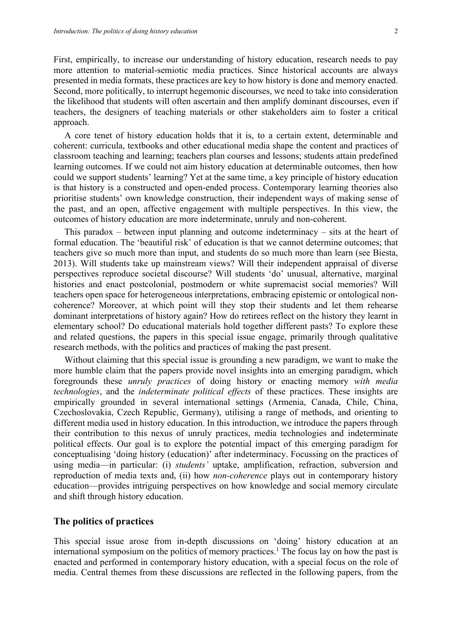First, empirically, to increase our understanding of history education, research needs to pay more attention to material-semiotic media practices. Since historical accounts are always presented in media formats, these practices are key to how history is done and memory enacted. Second, more politically, to interrupt hegemonic discourses, we need to take into consideration the likelihood that students will often ascertain and then amplify dominant discourses, even if teachers, the designers of teaching materials or other stakeholders aim to foster a critical approach.

A core tenet of history education holds that it is, to a certain extent, determinable and coherent: curricula, textbooks and other educational media shape the content and practices of classroom teaching and learning; teachers plan courses and lessons; students attain predefined learning outcomes. If we could not aim history education at determinable outcomes, then how could we support students' learning? Yet at the same time, a key principle of history education is that history is a constructed and open-ended process. Contemporary learning theories also prioritise students' own knowledge construction, their independent ways of making sense of the past, and an open, affective engagement with multiple perspectives. In this view, the outcomes of history education are more indeterminate, unruly and non-coherent.

This paradox – between input planning and outcome indeterminacy – sits at the heart of formal education. The 'beautiful risk' of education is that we cannot determine outcomes; that teachers give so much more than input, and students do so much more than learn (see Biesta, 2013). Will students take up mainstream views? Will their independent appraisal of diverse perspectives reproduce societal discourse? Will students 'do' unusual, alternative, marginal histories and enact postcolonial, postmodern or white supremacist social memories? Will teachers open space for heterogeneous interpretations, embracing epistemic or ontological noncoherence? Moreover, at which point will they stop their students and let them rehearse dominant interpretations of history again? How do retirees reflect on the history they learnt in elementary school? Do educational materials hold together different pasts? To explore these and related questions, the papers in this special issue engage, primarily through qualitative research methods, with the politics and practices of making the past present.

Without claiming that this special issue is grounding a new paradigm, we want to make the more humble claim that the papers provide novel insights into an emerging paradigm, which foregrounds these *unruly practices* of doing history or enacting memory *with media technologies*, and the *indeterminate political effects* of these practices. These insights are empirically grounded in several international settings (Armenia, Canada, Chile, China, Czechoslovakia, Czech Republic, Germany), utilising a range of methods, and orienting to different media used in history education. In this introduction, we introduce the papers through their contribution to this nexus of unruly practices, media technologies and indeterminate political effects. Our goal is to explore the potential impact of this emerging paradigm for conceptualising 'doing history (education)' after indeterminacy. Focussing on the practices of using media—in particular: (i) *students'* uptake, amplification, refraction, subversion and reproduction of media texts and, (ii) how *non-coherence* plays out in contemporary history education—provides intriguing perspectives on how knowledge and social memory circulate and shift through history education.

#### **The politics of practices**

This special issue arose from in-depth discussions on 'doing' history education at an international symposium on the politics of memory practices.<sup>1</sup> The focus lay on how the past is enacted and performed in contemporary history education, with a special focus on the role of media. Central themes from these discussions are reflected in the following papers, from the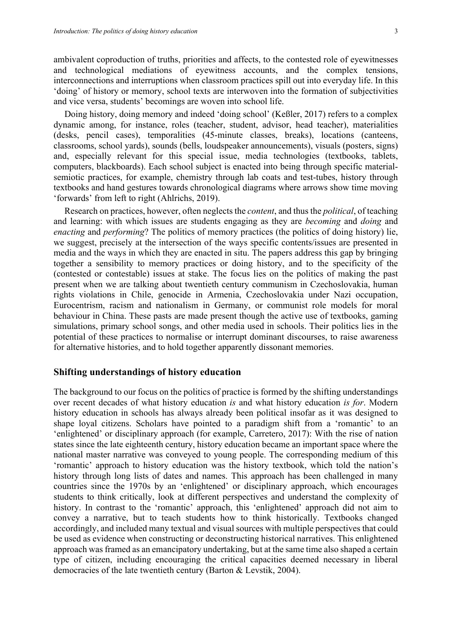ambivalent coproduction of truths, priorities and affects, to the contested role of eyewitnesses and technological mediations of eyewitness accounts, and the complex tensions, interconnections and interruptions when classroom practices spill out into everyday life. In this 'doing' of history or memory, school texts are interwoven into the formation of subjectivities and vice versa, students' becomings are woven into school life.

Doing history, doing memory and indeed 'doing school' (Keßler, 2017) refers to a complex dynamic among, for instance, roles (teacher, student, advisor, head teacher), materialities (desks, pencil cases), temporalities (45-minute classes, breaks), locations (canteens, classrooms, school yards), sounds (bells, loudspeaker announcements), visuals (posters, signs) and, especially relevant for this special issue, media technologies (textbooks, tablets, computers, blackboards). Each school subject is enacted into being through specific materialsemiotic practices, for example, chemistry through lab coats and test-tubes, history through textbooks and hand gestures towards chronological diagrams where arrows show time moving 'forwards' from left to right (Ahlrichs, 2019).

Research on practices, however, often neglects the *content*, and thus the *political*, of teaching and learning: with which issues are students engaging as they are *becoming* and *doing* and *enacting* and *performing*? The politics of memory practices (the politics of doing history) lie, we suggest, precisely at the intersection of the ways specific contents/issues are presented in media and the ways in which they are enacted in situ. The papers address this gap by bringing together a sensibility to memory practices or doing history, and to the specificity of the (contested or contestable) issues at stake. The focus lies on the politics of making the past present when we are talking about twentieth century communism in Czechoslovakia, human rights violations in Chile, genocide in Armenia, Czechoslovakia under Nazi occupation, Eurocentrism, racism and nationalism in Germany, or communist role models for moral behaviour in China. These pasts are made present though the active use of textbooks, gaming simulations, primary school songs, and other media used in schools. Their politics lies in the potential of these practices to normalise or interrupt dominant discourses, to raise awareness for alternative histories, and to hold together apparently dissonant memories.

## **Shifting understandings of history education**

The background to our focus on the politics of practice is formed by the shifting understandings over recent decades of what history education *is* and what history education *is for*. Modern history education in schools has always already been political insofar as it was designed to shape loyal citizens. Scholars have pointed to a paradigm shift from a 'romantic' to an 'enlightened' or disciplinary approach (for example, Carretero, 2017): With the rise of nation states since the late eighteenth century, history education became an important space where the national master narrative was conveyed to young people. The corresponding medium of this 'romantic' approach to history education was the history textbook, which told the nation's history through long lists of dates and names. This approach has been challenged in many countries since the 1970s by an 'enlightened' or disciplinary approach, which encourages students to think critically, look at different perspectives and understand the complexity of history. In contrast to the 'romantic' approach, this 'enlightened' approach did not aim to convey a narrative, but to teach students how to think historically. Textbooks changed accordingly, and included many textual and visual sources with multiple perspectives that could be used as evidence when constructing or deconstructing historical narratives. This enlightened approach was framed as an emancipatory undertaking, but at the same time also shaped a certain type of citizen, including encouraging the critical capacities deemed necessary in liberal democracies of the late twentieth century (Barton & Levstik, 2004).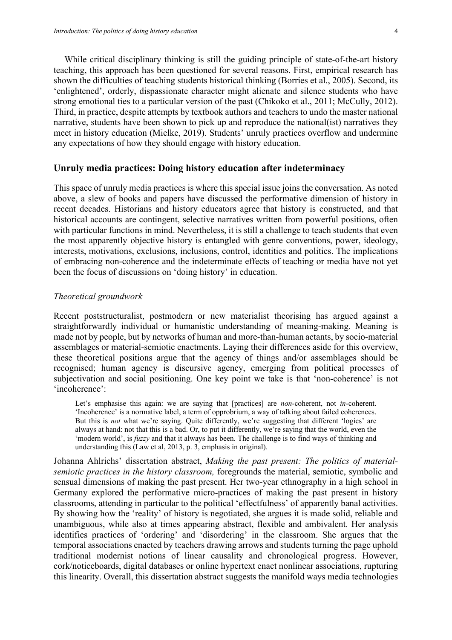While critical disciplinary thinking is still the guiding principle of state-of-the-art history teaching, this approach has been questioned for several reasons. First, empirical research has shown the difficulties of teaching students historical thinking (Borries et al., 2005). Second, its 'enlightened', orderly, dispassionate character might alienate and silence students who have strong emotional ties to a particular version of the past (Chikoko et al., 2011; McCully, 2012). Third, in practice, despite attempts by textbook authors and teachers to undo the master national narrative, students have been shown to pick up and reproduce the national(ist) narratives they meet in history education (Mielke, 2019). Students' unruly practices overflow and undermine any expectations of how they should engage with history education.

#### **Unruly media practices: Doing history education after indeterminacy**

This space of unruly media practices is where this special issue joins the conversation. As noted above, a slew of books and papers have discussed the performative dimension of history in recent decades. Historians and history educators agree that history is constructed, and that historical accounts are contingent, selective narratives written from powerful positions, often with particular functions in mind. Nevertheless, it is still a challenge to teach students that even the most apparently objective history is entangled with genre conventions, power, ideology, interests, motivations, exclusions, inclusions, control, identities and politics. The implications of embracing non-coherence and the indeterminate effects of teaching or media have not yet been the focus of discussions on 'doing history' in education.

#### *Theoretical groundwork*

Recent poststructuralist, postmodern or new materialist theorising has argued against a straightforwardly individual or humanistic understanding of meaning-making. Meaning is made not by people, but by networks of human and more-than-human actants, by socio-material assemblages or material-semiotic enactments. Laying their differences aside for this overview, these theoretical positions argue that the agency of things and/or assemblages should be recognised; human agency is discursive agency, emerging from political processes of subjectivation and social positioning. One key point we take is that 'non-coherence' is not 'incoherence':

Let's emphasise this again: we are saying that [practices] are *non*-coherent, not *in*-coherent. 'Incoherence' is a normative label, a term of opprobrium, a way of talking about failed coherences. But this is *not* what we're saying. Quite differently, we're suggesting that different 'logics' are always at hand: not that this is a bad. Or, to put it differently, we're saying that the world, even the 'modern world', is *fuzzy* and that it always has been. The challenge is to find ways of thinking and understanding this (Law et al, 2013, p. 3, emphasis in original).

Johanna Ahlrichs' dissertation abstract, *Making the past present: The politics of materialsemiotic practices in the history classroom,* foregrounds the material, semiotic, symbolic and sensual dimensions of making the past present. Her two-year ethnography in a high school in Germany explored the performative micro-practices of making the past present in history classrooms, attending in particular to the political 'effectfulness' of apparently banal activities. By showing how the 'reality' of history is negotiated, she argues it is made solid, reliable and unambiguous, while also at times appearing abstract, flexible and ambivalent. Her analysis identifies practices of 'ordering' and 'disordering' in the classroom. She argues that the temporal associations enacted by teachers drawing arrows and students turning the page uphold traditional modernist notions of linear causality and chronological progress. However, cork/noticeboards, digital databases or online hypertext enact nonlinear associations, rupturing this linearity. Overall, this dissertation abstract suggests the manifold ways media technologies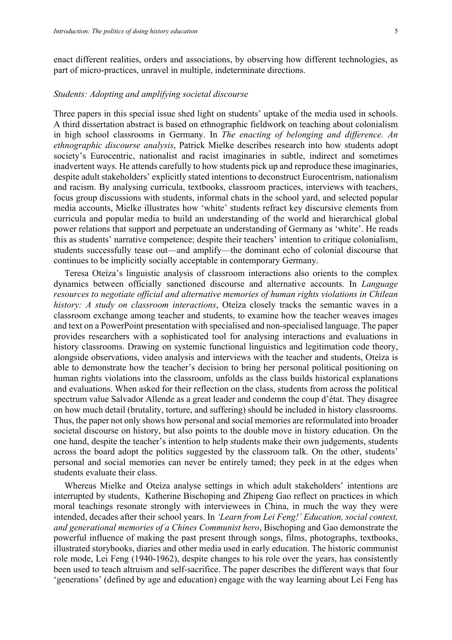enact different realities, orders and associations, by observing how different technologies, as part of micro-practices, unravel in multiple, indeterminate directions.

#### *Students: Adopting and amplifying societal discourse*

Three papers in this special issue shed light on students' uptake of the media used in schools. A third dissertation abstract is based on ethnographic fieldwork on teaching about colonialism in high school classrooms in Germany. In *The enacting of belonging and difference. An ethnographic discourse analysis*, Patrick Mielke describes research into how students adopt society's Eurocentric, nationalist and racist imaginaries in subtle, indirect and sometimes inadvertent ways. He attends carefully to how students pick up and reproduce these imaginaries, despite adult stakeholders' explicitly stated intentions to deconstruct Eurocentrism, nationalism and racism. By analysing curricula, textbooks, classroom practices, interviews with teachers, focus group discussions with students, informal chats in the school yard, and selected popular media accounts, Mielke illustrates how 'white' students refract key discursive elements from curricula and popular media to build an understanding of the world and hierarchical global power relations that support and perpetuate an understanding of Germany as 'white'. He reads this as students' narrative competence; despite their teachers' intention to critique colonialism, students successfully tease out—and amplify—the dominant echo of colonial discourse that continues to be implicitly socially acceptable in contemporary Germany.

Teresa Oteíza's linguistic analysis of classroom interactions also orients to the complex dynamics between officially sanctioned discourse and alternative accounts. In *Language resources to negotiate official and alternative memories of human rights violations in Chilean history: A study on classroom interactions*, Oteíza closely tracks the semantic waves in a classroom exchange among teacher and students, to examine how the teacher weaves images and text on a PowerPoint presentation with specialised and non-specialised language. The paper provides researchers with a sophisticated tool for analysing interactions and evaluations in history classrooms. Drawing on systemic functional linguistics and legitimation code theory, alongside observations, video analysis and interviews with the teacher and students, Oteíza is able to demonstrate how the teacher's decision to bring her personal political positioning on human rights violations into the classroom, unfolds as the class builds historical explanations and evaluations. When asked for their reflection on the class, students from across the political spectrum value Salvador Allende as a great leader and condemn the coup d'état. They disagree on how much detail (brutality, torture, and suffering) should be included in history classrooms. Thus, the paper not only shows how personal and social memories are reformulated into broader societal discourse on history, but also points to the double move in history education. On the one hand, despite the teacher's intention to help students make their own judgements, students across the board adopt the politics suggested by the classroom talk. On the other, students' personal and social memories can never be entirely tamed; they peek in at the edges when students evaluate their class.

Whereas Mielke and Oteíza analyse settings in which adult stakeholders' intentions are interrupted by students, Katherine Bischoping and Zhipeng Gao reflect on practices in which moral teachings resonate strongly with interviewees in China, in much the way they were intended, decades after their school years. In *'Learn from Lei Feng!' Education, social context, and generational memories of a Chines Communist hero*, Bischoping and Gao demonstrate the powerful influence of making the past present through songs, films, photographs, textbooks, illustrated storybooks, diaries and other media used in early education. The historic communist role mode, Lei Feng (1940-1962), despite changes to his role over the years, has consistently been used to teach altruism and self-sacrifice. The paper describes the different ways that four 'generations' (defined by age and education) engage with the way learning about Lei Feng has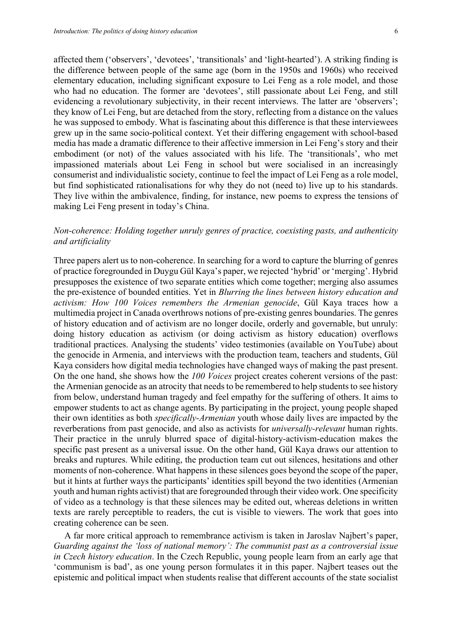affected them ('observers', 'devotees', 'transitionals' and 'light-hearted'). A striking finding is the difference between people of the same age (born in the 1950s and 1960s) who received elementary education, including significant exposure to Lei Feng as a role model, and those who had no education. The former are 'devotees', still passionate about Lei Feng, and still evidencing a revolutionary subjectivity, in their recent interviews. The latter are 'observers'; they know of Lei Feng, but are detached from the story, reflecting from a distance on the values he was supposed to embody. What is fascinating about this difference is that these interviewees grew up in the same socio-political context. Yet their differing engagement with school-based media has made a dramatic difference to their affective immersion in Lei Feng's story and their embodiment (or not) of the values associated with his life. The 'transitionals', who met impassioned materials about Lei Feng in school but were socialised in an increasingly consumerist and individualistic society, continue to feel the impact of Lei Feng as a role model, but find sophisticated rationalisations for why they do not (need to) live up to his standards. They live within the ambivalence, finding, for instance, new poems to express the tensions of making Lei Feng present in today's China.

## *Non-coherence: Holding together unruly genres of practice, coexisting pasts, and authenticity and artificiality*

Three papers alert us to non-coherence. In searching for a word to capture the blurring of genres of practice foregrounded in Duygu Gül Kaya's paper, we rejected 'hybrid' or 'merging'. Hybrid presupposes the existence of two separate entities which come together; merging also assumes the pre-existence of bounded entities. Yet in *Blurring the lines between history education and activism: How 100 Voices remembers the Armenian genocide*, Gül Kaya traces how a multimedia project in Canada overthrows notions of pre-existing genres boundaries. The genres of history education and of activism are no longer docile, orderly and governable, but unruly: doing history education as activism (or doing activism as history education) overflows traditional practices. Analysing the students' video testimonies (available on YouTube) about the genocide in Armenia, and interviews with the production team, teachers and students, Gül Kaya considers how digital media technologies have changed ways of making the past present. On the one hand, she shows how the *100 Voices* project creates coherent versions of the past: the Armenian genocide as an atrocity that needs to be remembered to help students to see history from below, understand human tragedy and feel empathy for the suffering of others. It aims to empower students to act as change agents. By participating in the project, young people shaped their own identities as both *specifically-Armenian* youth whose daily lives are impacted by the reverberations from past genocide, and also as activists for *universally-relevant* human rights. Their practice in the unruly blurred space of digital-history-activism-education makes the specific past present as a universal issue. On the other hand, Gül Kaya draws our attention to breaks and ruptures. While editing, the production team cut out silences, hesitations and other moments of non-coherence. What happens in these silences goes beyond the scope of the paper, but it hints at further ways the participants' identities spill beyond the two identities (Armenian youth and human rights activist) that are foregrounded through their video work. One specificity of video as a technology is that these silences may be edited out, whereas deletions in written texts are rarely perceptible to readers, the cut is visible to viewers. The work that goes into creating coherence can be seen.

A far more critical approach to remembrance activism is taken in Jaroslav Najbert's paper, *Guarding against the 'loss of national memory': The communist past as a controversial issue in Czech history education*. In the Czech Republic, young people learn from an early age that 'communism is bad', as one young person formulates it in this paper. Najbert teases out the epistemic and political impact when students realise that different accounts of the state socialist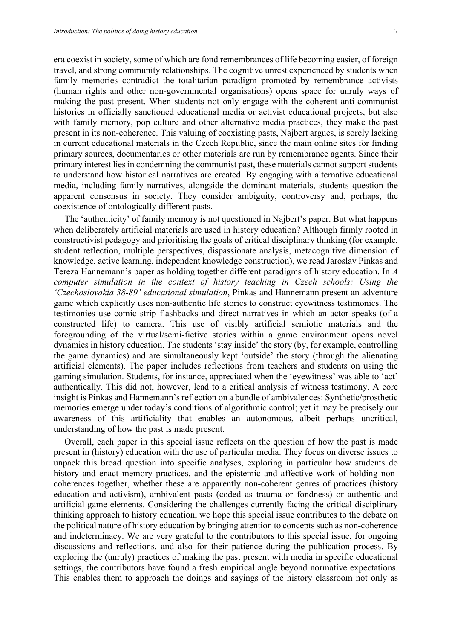era coexist in society, some of which are fond remembrances of life becoming easier, of foreign travel, and strong community relationships. The cognitive unrest experienced by students when family memories contradict the totalitarian paradigm promoted by remembrance activists (human rights and other non-governmental organisations) opens space for unruly ways of making the past present. When students not only engage with the coherent anti-communist histories in officially sanctioned educational media or activist educational projects, but also with family memory, pop culture and other alternative media practices, they make the past present in its non-coherence. This valuing of coexisting pasts, Najbert argues, is sorely lacking in current educational materials in the Czech Republic, since the main online sites for finding primary sources, documentaries or other materials are run by remembrance agents. Since their primary interest lies in condemning the communist past, these materials cannot support students to understand how historical narratives are created. By engaging with alternative educational media, including family narratives, alongside the dominant materials, students question the apparent consensus in society. They consider ambiguity, controversy and, perhaps, the coexistence of ontologically different pasts.

The 'authenticity' of family memory is not questioned in Najbert's paper. But what happens when deliberately artificial materials are used in history education? Although firmly rooted in constructivist pedagogy and prioritising the goals of critical disciplinary thinking (for example, student reflection, multiple perspectives, dispassionate analysis, metacognitive dimension of knowledge, active learning, independent knowledge construction), we read Jaroslav Pinkas and Tereza Hannemann's paper as holding together different paradigms of history education. In *A computer simulation in the context of history teaching in Czech schools: Using the 'Czechoslovakia 38-89' educational simulation*, Pinkas and Hannemann present an adventure game which explicitly uses non-authentic life stories to construct eyewitness testimonies. The testimonies use comic strip flashbacks and direct narratives in which an actor speaks (of a constructed life) to camera. This use of visibly artificial semiotic materials and the foregrounding of the virtual/semi-fictive stories within a game environment opens novel dynamics in history education. The students 'stay inside' the story (by, for example, controlling the game dynamics) and are simultaneously kept 'outside' the story (through the alienating artificial elements). The paper includes reflections from teachers and students on using the gaming simulation. Students, for instance, appreciated when the 'eyewitness' was able to 'act' authentically. This did not, however, lead to a critical analysis of witness testimony. A core insight is Pinkas and Hannemann's reflection on a bundle of ambivalences: Synthetic/prosthetic memories emerge under today's conditions of algorithmic control; yet it may be precisely our awareness of this artificiality that enables an autonomous, albeit perhaps uncritical, understanding of how the past is made present.

Overall, each paper in this special issue reflects on the question of how the past is made present in (history) education with the use of particular media. They focus on diverse issues to unpack this broad question into specific analyses, exploring in particular how students do history and enact memory practices, and the epistemic and affective work of holding noncoherences together, whether these are apparently non-coherent genres of practices (history education and activism), ambivalent pasts (coded as trauma or fondness) or authentic and artificial game elements. Considering the challenges currently facing the critical disciplinary thinking approach to history education, we hope this special issue contributes to the debate on the political nature of history education by bringing attention to concepts such as non-coherence and indeterminacy. We are very grateful to the contributors to this special issue, for ongoing discussions and reflections, and also for their patience during the publication process. By exploring the (unruly) practices of making the past present with media in specific educational settings, the contributors have found a fresh empirical angle beyond normative expectations. This enables them to approach the doings and sayings of the history classroom not only as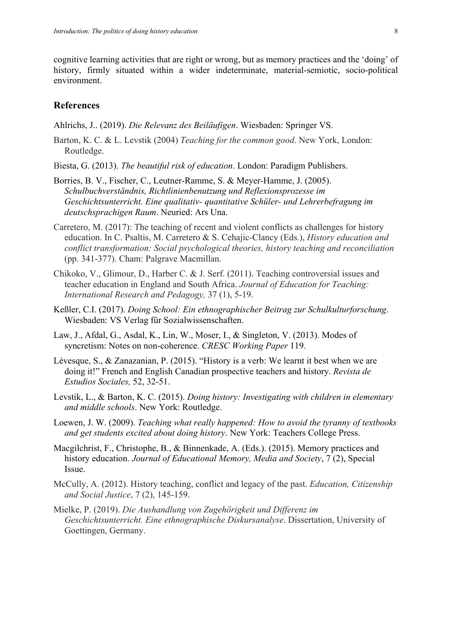cognitive learning activities that are right or wrong, but as memory practices and the 'doing' of history, firmly situated within a wider indeterminate, material-semiotic, socio-political environment.

# **References**

Ahlrichs, J.. (2019). *Die Relevanz des Beiläufigen*. Wiesbaden: Springer VS.

- Barton, K. C. & L. Levstik (2004) *Teaching for the common good*. New York, London: Routledge.
- Biesta, G. (2013). *The beautiful risk of education*. London: Paradigm Publishers.
- Borries, B. V., Fischer, C., Leutner-Ramme, S. & Meyer-Hamme, J. (2005). *Schulbuchverständnis, Richtlinienbenutzung und Reflexionsprozesse im Geschichtsunterricht. Eine qualitativ- quantitative Schüler- und Lehrerbefragung im deutschsprachigen Raum*. Neuried: Ars Una.
- Carretero, M. (2017): The teaching of recent and violent conflicts as challenges for history education. In C. Psaltis, M. Carretero & S. Cehajic-Clancy (Eds.), *History education and conflict transformation: Social psychological theories, history teaching and reconciliation* (pp. 341-377). Cham: Palgrave Macmillan.
- Chikoko, V., Glimour, D., Harber C. & J. Serf. (2011). Teaching controversial issues and teacher education in England and South Africa. *Journal of Education for Teaching: International Research and Pedagogy,* 37 (1), 5-19.
- Keßler, C.I. (2017). *Doing School: Ein ethnographischer Beitrag zur Schulkulturforschung*. Wiesbaden: VS Verlag für Sozialwissenschaften.
- Law, J., Afdal, G., Asdal, K., Lin, W., Moser, I., & Singleton, V. (2013). Modes of syncretism: Notes on non-coherence. *CRESC Working Paper* 119.
- Lévesque, S., & Zanazanian, P. (2015). "History is a verb: We learnt it best when we are doing it!" French and English Canadian prospective teachers and history. *Revista de Estudios Sociales,* 52, 32-51.
- Levstik, L., & Barton, K. C. (2015). *Doing history: Investigating with children in elementary and middle schools*. New York: Routledge.
- Loewen, J. W. (2009). *Teaching what really happened: How to avoid the tyranny of textbooks and get students excited about doing history*. New York: Teachers College Press.
- Macgilchrist, F., Christophe, B., & Binnenkade, A. (Eds.). (2015). Memory practices and history education. *Journal of Educational Memory, Media and Society*, 7 (2), Special Issue.
- McCully, A. (2012). History teaching, conflict and legacy of the past. *Education, Citizenship and Social Justice*, 7 (2), 145-159.
- Mielke, P. (2019). *Die Aushandlung von Zugehörigkeit und Differenz im Geschichtsunterricht. Eine ethnographische Diskursanalyse*. Dissertation, University of Goettingen, Germany.